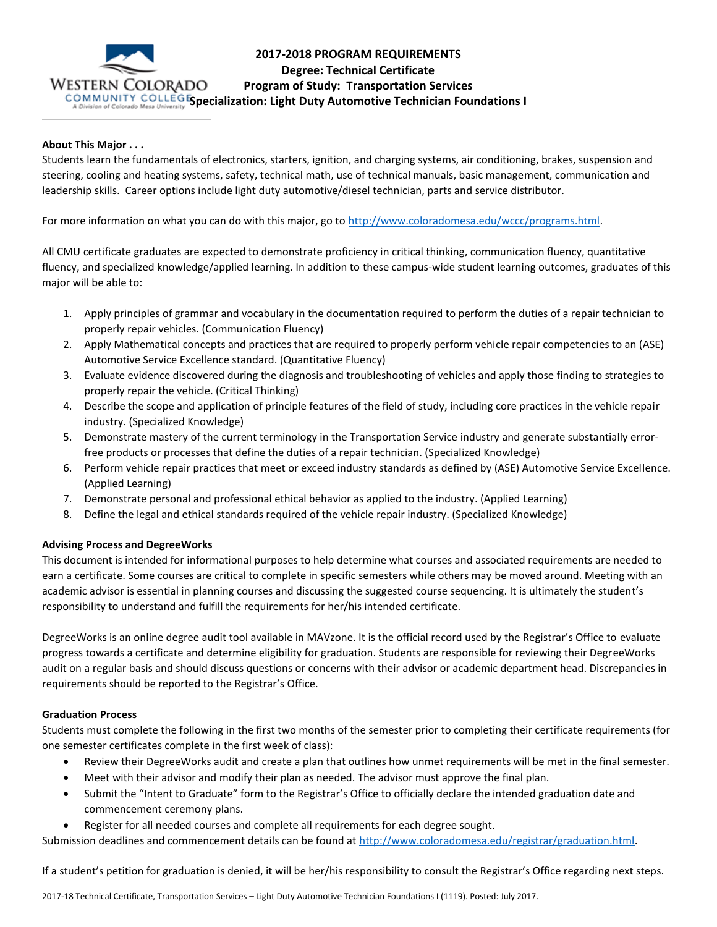

# **2017-2018 PROGRAM REQUIREMENTS Degree: Technical Certificate Program of Study: Transportation Services**

# **Specialization: Light Duty Automotive Technician Foundations I**

## **About This Major . . .**

Students learn the fundamentals of electronics, starters, ignition, and charging systems, air conditioning, brakes, suspension and steering, cooling and heating systems, safety, technical math, use of technical manuals, basic management, communication and leadership skills. Career options include light duty automotive/diesel technician, parts and service distributor.

For more information on what you can do with this major, go to [http://www.coloradomesa.edu/wccc/programs.html.](http://www.coloradomesa.edu/wccc/programs.html)

All CMU certificate graduates are expected to demonstrate proficiency in critical thinking, communication fluency, quantitative fluency, and specialized knowledge/applied learning. In addition to these campus-wide student learning outcomes, graduates of this major will be able to:

- 1. Apply principles of grammar and vocabulary in the documentation required to perform the duties of a repair technician to properly repair vehicles. (Communication Fluency)
- 2. Apply Mathematical concepts and practices that are required to properly perform vehicle repair competencies to an (ASE) Automotive Service Excellence standard. (Quantitative Fluency)
- 3. Evaluate evidence discovered during the diagnosis and troubleshooting of vehicles and apply those finding to strategies to properly repair the vehicle. (Critical Thinking)
- 4. Describe the scope and application of principle features of the field of study, including core practices in the vehicle repair industry. (Specialized Knowledge)
- 5. Demonstrate mastery of the current terminology in the Transportation Service industry and generate substantially errorfree products or processes that define the duties of a repair technician. (Specialized Knowledge)
- 6. Perform vehicle repair practices that meet or exceed industry standards as defined by (ASE) Automotive Service Excellence. (Applied Learning)
- 7. Demonstrate personal and professional ethical behavior as applied to the industry. (Applied Learning)
- 8. Define the legal and ethical standards required of the vehicle repair industry. (Specialized Knowledge)

#### **Advising Process and DegreeWorks**

This document is intended for informational purposes to help determine what courses and associated requirements are needed to earn a certificate. Some courses are critical to complete in specific semesters while others may be moved around. Meeting with an academic advisor is essential in planning courses and discussing the suggested course sequencing. It is ultimately the student's responsibility to understand and fulfill the requirements for her/his intended certificate.

DegreeWorks is an online degree audit tool available in MAVzone. It is the official record used by the Registrar's Office to evaluate progress towards a certificate and determine eligibility for graduation. Students are responsible for reviewing their DegreeWorks audit on a regular basis and should discuss questions or concerns with their advisor or academic department head. Discrepancies in requirements should be reported to the Registrar's Office.

#### **Graduation Process**

Students must complete the following in the first two months of the semester prior to completing their certificate requirements (for one semester certificates complete in the first week of class):

- Review their DegreeWorks audit and create a plan that outlines how unmet requirements will be met in the final semester.
- Meet with their advisor and modify their plan as needed. The advisor must approve the final plan.
- Submit the "Intent to Graduate" form to the Registrar's Office to officially declare the intended graduation date and commencement ceremony plans.
- Register for all needed courses and complete all requirements for each degree sought.

Submission deadlines and commencement details can be found at [http://www.coloradomesa.edu/registrar/graduation.html.](http://www.coloradomesa.edu/registrar/graduation.html)

If a student's petition for graduation is denied, it will be her/his responsibility to consult the Registrar's Office regarding next steps.

2017-18 Technical Certificate, Transportation Services – Light Duty Automotive Technician Foundations I (1119). Posted: July 2017.